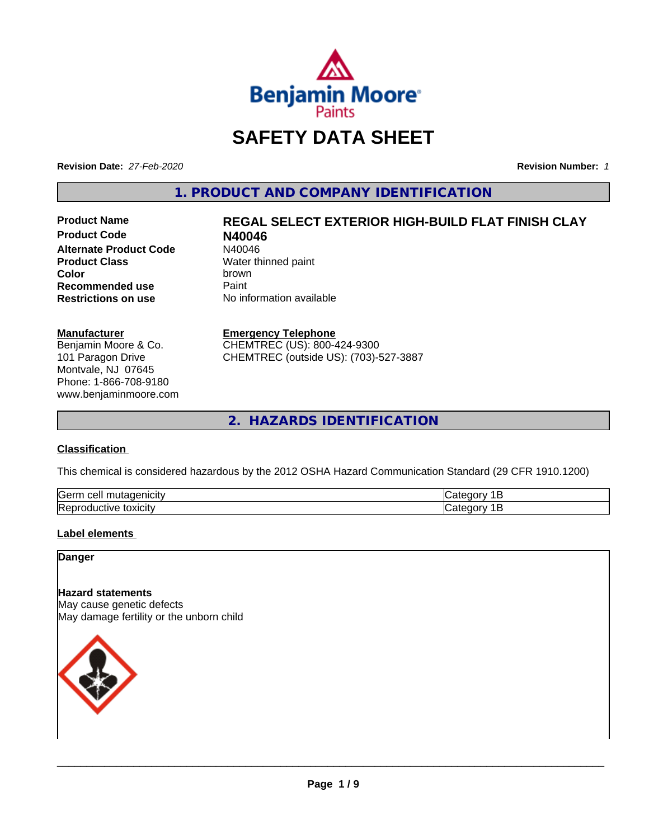

# **SAFETY DATA SHEET**

**Revision Date:** *27-Feb-2020* **Revision Number:** *1*

**1. PRODUCT AND COMPANY IDENTIFICATION**

**Product Code N40046 Alternate Product Code** N40046<br> **Product Class** Water th **Color** brown **Recommended use** Paint<br> **Restrictions on use** No inf

# **Product Name REGAL SELECT EXTERIOR HIGH-BUILD FLAT FINISH CLAY**

**Water thinned paint Restrictions on use** No information available

#### **Manufacturer**

Benjamin Moore & Co. 101 Paragon Drive Montvale, NJ 07645 Phone: 1-866-708-9180 www.benjaminmoore.com

#### **Emergency Telephone**

CHEMTREC (US): 800-424-9300 CHEMTREC (outside US): (703)-527-3887

**2. HAZARDS IDENTIFICATION**

#### **Classification**

This chemical is considered hazardous by the 2012 OSHA Hazard Communication Standard (29 CFR 1910.1200)

| Gern<br>$\sim$ $\sim$ $\sim$<br>utac<br>cell<br>ш.<br>пыс |  |
|-----------------------------------------------------------|--|
| lRer<br>.<br>м<br><b>LOXICITV</b>                         |  |

#### **Label elements**

**Danger**

## **Hazard statements**

May cause genetic defects May damage fertility or the unborn child

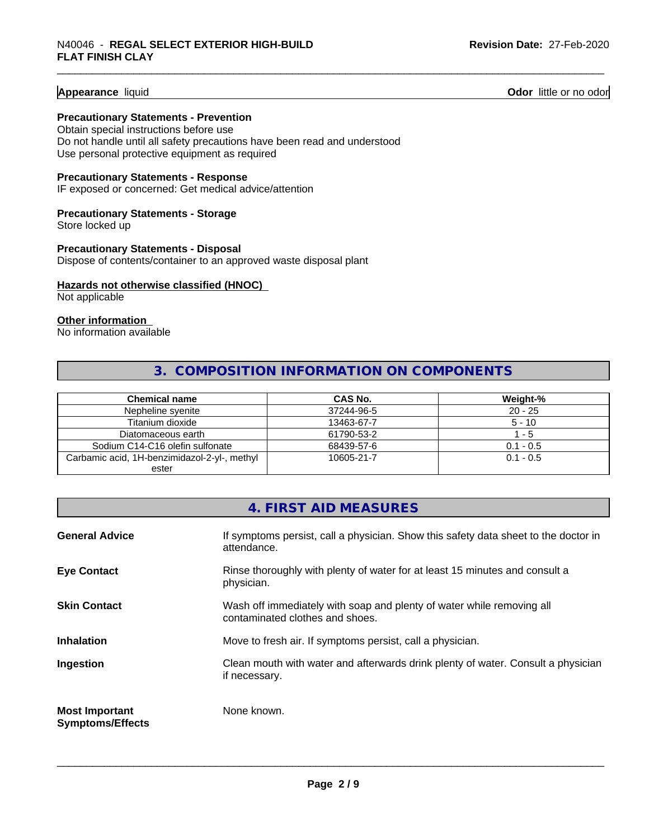#### **Appearance** liquid **Odor 11 Odor 11 Odor 11 Odor 11 Odor 11 Odor 11 Odor 11 Odor 11 Odor 11 Odor 11 Odor 11 Odor 11 Odor 11 Odor 11 Odor 11 Odor 11 Odor 11 Odor 11 Odor** 11

#### **Precautionary Statements - Prevention**

Obtain special instructions before use Do not handle until all safety precautions have been read and understood Use personal protective equipment as required

#### **Precautionary Statements - Response**

IF exposed or concerned: Get medical advice/attention

## **Precautionary Statements - Storage**

Store locked up

#### **Precautionary Statements - Disposal** Dispose of contents/container to an approved waste disposal plant

#### **Hazards not otherwise classified (HNOC)**

Not applicable

#### **Other information**

No information available

# **3. COMPOSITION INFORMATION ON COMPONENTS**

| Chemical name                                | <b>CAS No.</b> | Weight-%    |
|----------------------------------------------|----------------|-------------|
| Nepheline syenite                            | 37244-96-5     | $20 - 25$   |
| Titanium dioxide                             | 13463-67-7     | $5 - 10$    |
| Diatomaceous earth                           | 61790-53-2     | $-5$        |
| Sodium C14-C16 olefin sulfonate              | 68439-57-6     | $0.1 - 0.5$ |
| Carbamic acid, 1H-benzimidazol-2-yl-, methyl | 10605-21-7     | $0.1 - 0.5$ |
| ester                                        |                |             |

|                                                  | 4. FIRST AID MEASURES                                                                                    |
|--------------------------------------------------|----------------------------------------------------------------------------------------------------------|
| <b>General Advice</b>                            | If symptoms persist, call a physician. Show this safety data sheet to the doctor in<br>attendance.       |
| <b>Eye Contact</b>                               | Rinse thoroughly with plenty of water for at least 15 minutes and consult a<br>physician.                |
| <b>Skin Contact</b>                              | Wash off immediately with soap and plenty of water while removing all<br>contaminated clothes and shoes. |
| <b>Inhalation</b>                                | Move to fresh air. If symptoms persist, call a physician.                                                |
| Ingestion                                        | Clean mouth with water and afterwards drink plenty of water. Consult a physician<br>if necessary.        |
| <b>Most Important</b><br><b>Symptoms/Effects</b> | None known.                                                                                              |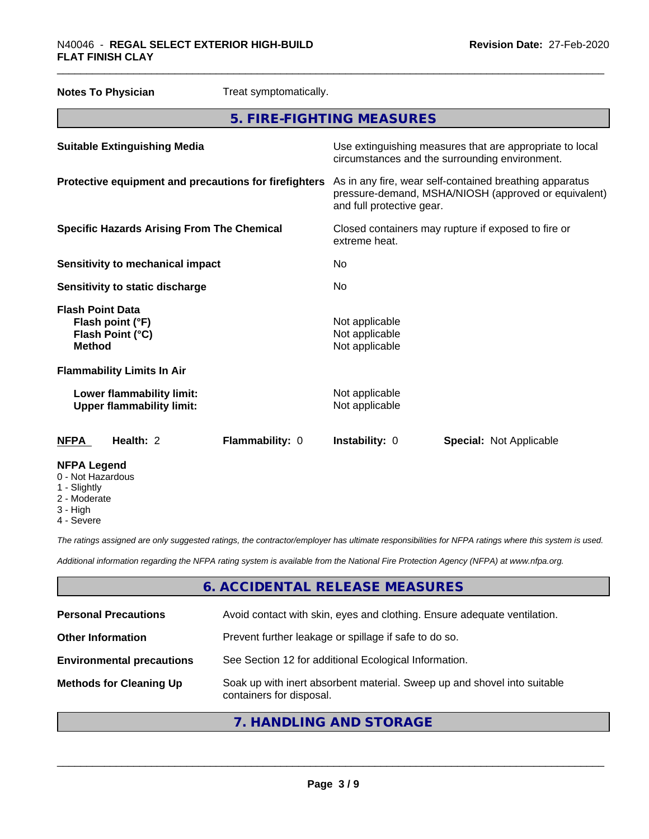| <b>Notes To Physician</b>                                                        | Treat symptomatically. |                                                                      |                                                                                                                 |  |
|----------------------------------------------------------------------------------|------------------------|----------------------------------------------------------------------|-----------------------------------------------------------------------------------------------------------------|--|
|                                                                                  |                        | 5. FIRE-FIGHTING MEASURES                                            |                                                                                                                 |  |
| <b>Suitable Extinguishing Media</b>                                              |                        |                                                                      | Use extinguishing measures that are appropriate to local<br>circumstances and the surrounding environment.      |  |
| Protective equipment and precautions for firefighters                            |                        | and full protective gear.                                            | As in any fire, wear self-contained breathing apparatus<br>pressure-demand, MSHA/NIOSH (approved or equivalent) |  |
| <b>Specific Hazards Arising From The Chemical</b>                                |                        | Closed containers may rupture if exposed to fire or<br>extreme heat. |                                                                                                                 |  |
| <b>Sensitivity to mechanical impact</b>                                          |                        | No.                                                                  |                                                                                                                 |  |
| Sensitivity to static discharge                                                  |                        | No.                                                                  |                                                                                                                 |  |
| <b>Flash Point Data</b><br>Flash point (°F)<br>Flash Point (°C)<br><b>Method</b> |                        | Not applicable<br>Not applicable<br>Not applicable                   |                                                                                                                 |  |
| <b>Flammability Limits In Air</b>                                                |                        |                                                                      |                                                                                                                 |  |
| Lower flammability limit:<br><b>Upper flammability limit:</b>                    |                        | Not applicable<br>Not applicable                                     |                                                                                                                 |  |
| Health: 2<br><b>NFPA</b>                                                         | Flammability: 0        | Instability: 0                                                       | <b>Special: Not Applicable</b>                                                                                  |  |
| <b>NFPA Legend</b><br>0 - Not Hazardous<br>Cliabth <i>i</i>                      |                        |                                                                      |                                                                                                                 |  |

- 1 Slightly
- 2 Moderate
- 3 High
- 4 Severe

*The ratings assigned are only suggested ratings, the contractor/employer has ultimate responsibilities for NFPA ratings where this system is used.*

*Additional information regarding the NFPA rating system is available from the National Fire Protection Agency (NFPA) at www.nfpa.org.*

## **6. ACCIDENTAL RELEASE MEASURES**

| <b>Personal Precautions</b>      | Avoid contact with skin, eyes and clothing. Ensure adequate ventilation.                             |
|----------------------------------|------------------------------------------------------------------------------------------------------|
| <b>Other Information</b>         | Prevent further leakage or spillage if safe to do so.                                                |
| <b>Environmental precautions</b> | See Section 12 for additional Ecological Information.                                                |
| <b>Methods for Cleaning Up</b>   | Soak up with inert absorbent material. Sweep up and shovel into suitable<br>containers for disposal. |
|                                  |                                                                                                      |

# **7. HANDLING AND STORAGE**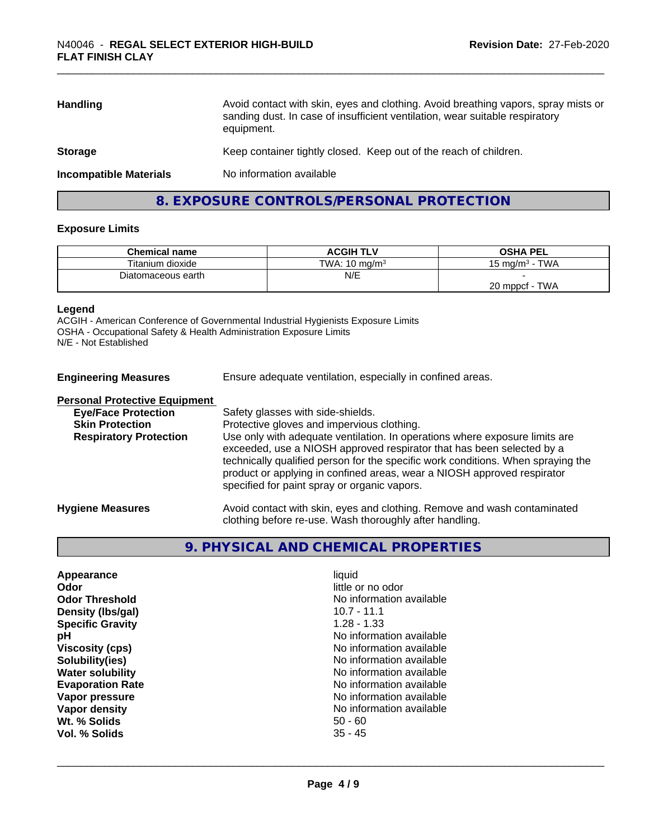| <b>Handling</b>               | Avoid contact with skin, eyes and clothing. Avoid breathing vapors, spray mists or<br>sanding dust. In case of insufficient ventilation, wear suitable respiratory<br>equipment. |
|-------------------------------|----------------------------------------------------------------------------------------------------------------------------------------------------------------------------------|
| <b>Storage</b>                | Keep container tightly closed. Keep out of the reach of children.                                                                                                                |
| <b>Incompatible Materials</b> | No information available                                                                                                                                                         |

# **8. EXPOSURE CONTROLS/PERSONAL PROTECTION**

#### **Exposure Limits**

| <b>Chemical name</b> | <b>ACGIH TLV</b>         | <b>OSHA PEL</b>              |
|----------------------|--------------------------|------------------------------|
| Titanium dioxide     | TWA: $10 \text{ ma/m}^3$ | <b>TWA</b><br>15 ma/m $^3\,$ |
| Diatomaceous earth   | N/E                      |                              |
|                      |                          | <b>TWA</b><br>20 mppcf       |

#### **Legend**

ACGIH - American Conference of Governmental Industrial Hygienists Exposure Limits OSHA - Occupational Safety & Health Administration Exposure Limits N/E - Not Established

| <b>Engineering Measures</b>          | Ensure adequate ventilation, especially in confined areas.                                                                                                                                                                                                                                                                                                          |  |
|--------------------------------------|---------------------------------------------------------------------------------------------------------------------------------------------------------------------------------------------------------------------------------------------------------------------------------------------------------------------------------------------------------------------|--|
| <b>Personal Protective Equipment</b> |                                                                                                                                                                                                                                                                                                                                                                     |  |
| <b>Eye/Face Protection</b>           | Safety glasses with side-shields.                                                                                                                                                                                                                                                                                                                                   |  |
| <b>Skin Protection</b>               | Protective gloves and impervious clothing.                                                                                                                                                                                                                                                                                                                          |  |
| <b>Respiratory Protection</b>        | Use only with adequate ventilation. In operations where exposure limits are<br>exceeded, use a NIOSH approved respirator that has been selected by a<br>technically qualified person for the specific work conditions. When spraying the<br>product or applying in confined areas, wear a NIOSH approved respirator<br>specified for paint spray or organic vapors. |  |
| <b>Hygiene Measures</b>              | Avoid contact with skin, eyes and clothing. Remove and wash contaminated<br>clothing before re-use. Wash thoroughly after handling.                                                                                                                                                                                                                                 |  |

# **9. PHYSICAL AND CHEMICAL PROPERTIES**

| liauid                   |  |
|--------------------------|--|
| little or no odor        |  |
| No information available |  |
| 10.7 - 11.1              |  |
| $1.28 - 1.33$            |  |
| No information available |  |
| No information available |  |
| No information available |  |
| No information available |  |
| No information available |  |
| No information available |  |
| No information available |  |
| $50 - 60$                |  |
| $35 - 45$                |  |
|                          |  |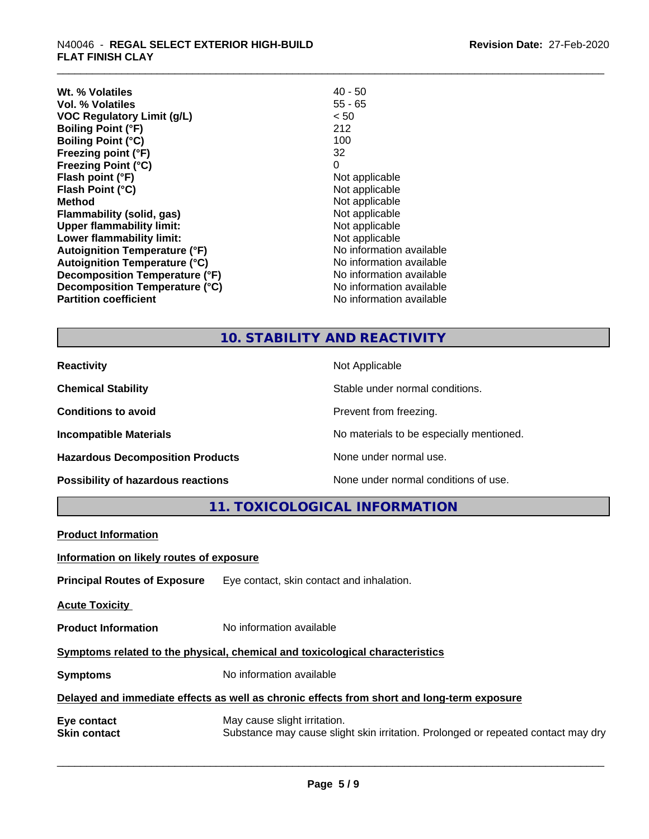| Wt. % Volatiles                      | $40 - 50$                |
|--------------------------------------|--------------------------|
| Vol. % Volatiles                     | $55 - 65$                |
| VOC Regulatory Limit (g/L)           | < 50                     |
| <b>Boiling Point (°F)</b>            | 212                      |
| <b>Boiling Point (°C)</b>            | 100                      |
| Freezing point (°F)                  | 32                       |
| <b>Freezing Point (°C)</b>           | 0                        |
| Flash point (°F)                     | Not applicable           |
| Flash Point (°C)                     | Not applicable           |
| Method                               | Not applicable           |
| <b>Flammability (solid, gas)</b>     | Not applicable           |
| <b>Upper flammability limit:</b>     | Not applicable           |
| Lower flammability limit:            | Not applicable           |
| <b>Autoignition Temperature (°F)</b> | No information available |
| <b>Autoignition Temperature (°C)</b> | No information available |
| Decomposition Temperature (°F)       | No information available |
| Decomposition Temperature (°C)       | No information available |
| <b>Partition coefficient</b>         | No information available |

# **10. STABILITY AND REACTIVITY**

| <b>Reactivity</b>                       | Not Applicable                           |
|-----------------------------------------|------------------------------------------|
| <b>Chemical Stability</b>               | Stable under normal conditions.          |
| <b>Conditions to avoid</b>              | Prevent from freezing.                   |
| <b>Incompatible Materials</b>           | No materials to be especially mentioned. |
| <b>Hazardous Decomposition Products</b> | None under normal use.                   |
| Possibility of hazardous reactions      | None under normal conditions of use.     |

**11. TOXICOLOGICAL INFORMATION**

| <b>Product Information</b>                                                                 |                                                                                                                   |  |  |
|--------------------------------------------------------------------------------------------|-------------------------------------------------------------------------------------------------------------------|--|--|
| Information on likely routes of exposure                                                   |                                                                                                                   |  |  |
| <b>Principal Routes of Exposure</b>                                                        | Eye contact, skin contact and inhalation.                                                                         |  |  |
| <b>Acute Toxicity</b>                                                                      |                                                                                                                   |  |  |
| <b>Product Information</b>                                                                 | No information available                                                                                          |  |  |
| Symptoms related to the physical, chemical and toxicological characteristics               |                                                                                                                   |  |  |
| <b>Symptoms</b>                                                                            | No information available                                                                                          |  |  |
| Delayed and immediate effects as well as chronic effects from short and long-term exposure |                                                                                                                   |  |  |
| Eye contact<br><b>Skin contact</b>                                                         | May cause slight irritation.<br>Substance may cause slight skin irritation. Prolonged or repeated contact may dry |  |  |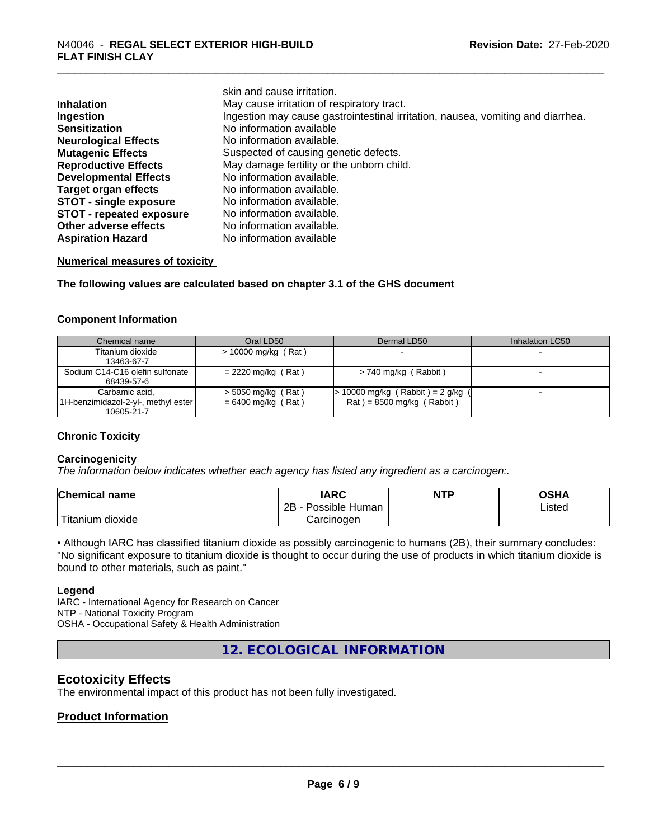|                                 | skin and cause irritation.                                                      |  |
|---------------------------------|---------------------------------------------------------------------------------|--|
| <b>Inhalation</b>               | May cause irritation of respiratory tract.                                      |  |
| Ingestion                       | Ingestion may cause gastrointestinal irritation, nausea, vomiting and diarrhea. |  |
| <b>Sensitization</b>            | No information available                                                        |  |
| <b>Neurological Effects</b>     | No information available.                                                       |  |
| <b>Mutagenic Effects</b>        | Suspected of causing genetic defects.                                           |  |
| <b>Reproductive Effects</b>     | May damage fertility or the unborn child.                                       |  |
| <b>Developmental Effects</b>    | No information available.                                                       |  |
| <b>Target organ effects</b>     | No information available.                                                       |  |
| <b>STOT - single exposure</b>   | No information available.                                                       |  |
| <b>STOT - repeated exposure</b> | No information available.                                                       |  |
| Other adverse effects           | No information available.                                                       |  |
| <b>Aspiration Hazard</b>        | No information available                                                        |  |

#### **Numerical measures of toxicity**

**The following values are calculated based on chapter 3.1 of the GHS document**

#### **Component Information**

| Chemical name                       | Oral LD50             | Dermal LD50                         | Inhalation LC50 |
|-------------------------------------|-----------------------|-------------------------------------|-----------------|
| Titanium dioxide                    | $> 10000$ mg/kg (Rat) |                                     |                 |
| 13463-67-7                          |                       |                                     |                 |
| Sodium C14-C16 olefin sulfonate     | $= 2220$ mg/kg (Rat)  | $> 740$ mg/kg (Rabbit)              |                 |
| 68439-57-6                          |                       |                                     |                 |
| Carbamic acid,                      | $>$ 5050 mg/kg (Rat)  | $> 10000$ mg/kg (Rabbit) = 2 g/kg ( |                 |
| 1H-benzimidazol-2-yl-, methyl ester | $= 6400$ mg/kg (Rat)  | $Rat$ = 8500 mg/kg (Rabbit)         |                 |
| 10605-21-7                          |                       |                                     |                 |

#### **Chronic Toxicity**

#### **Carcinogenicity**

*The information below indicateswhether each agency has listed any ingredient as a carcinogen:.*

| <b>Chemical name</b>    | <b>IARC</b>          | <b>NTP</b> | <b>OSHA</b> |
|-------------------------|----------------------|------------|-------------|
|                         | 2B<br>Possible Human |            | Listed      |
| 'Titanium<br>m dioxide. | Carcinoɑen           |            |             |

• Although IARC has classified titanium dioxide as possibly carcinogenic to humans (2B), their summary concludes: "No significant exposure to titanium dioxide is thought to occur during the use of products in which titanium dioxide is bound to other materials, such as paint."

#### **Legend**

IARC - International Agency for Research on Cancer NTP - National Toxicity Program OSHA - Occupational Safety & Health Administration

**12. ECOLOGICAL INFORMATION**

#### **Ecotoxicity Effects**

The environmental impact of this product has not been fully investigated.

#### **Product Information**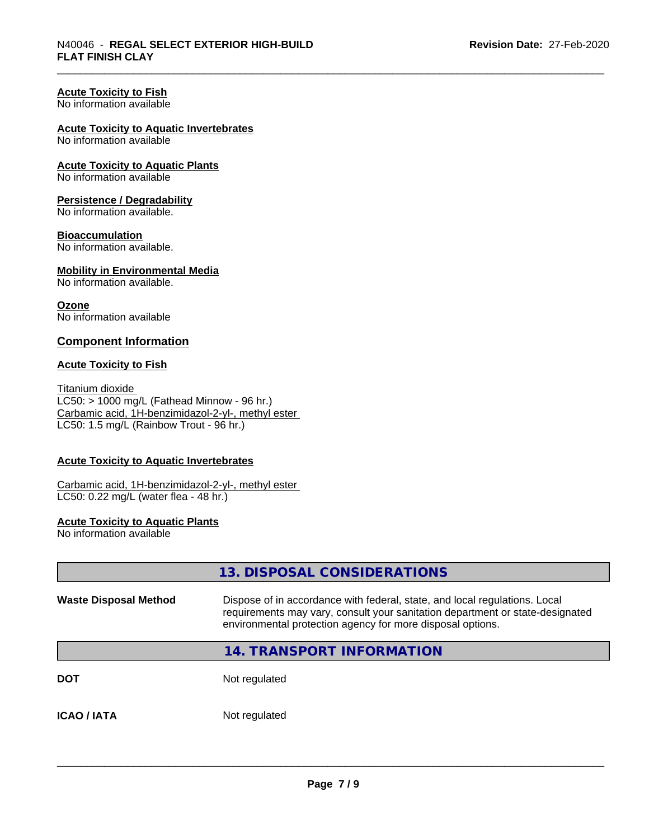#### **Acute Toxicity to Fish**

No information available

#### **Acute Toxicity to Aquatic Invertebrates**

No information available

# **Acute Toxicity to Aquatic Plants**

No information available

#### **Persistence / Degradability**

No information available.

#### **Bioaccumulation**

No information available.

# **Mobility in Environmental Media**

No information available.

#### **Ozone** No information available

#### **Component Information**

#### **Acute Toxicity to Fish**

Titanium dioxide  $LC50:$  > 1000 mg/L (Fathead Minnow - 96 hr.) Carbamic acid, 1H-benzimidazol-2-yl-, methyl ester LC50: 1.5 mg/L (Rainbow Trout - 96 hr.)

#### **Acute Toxicity to Aquatic Invertebrates**

Carbamic acid, 1H-benzimidazol-2-yl-, methyl ester LC50: 0.22 mg/L (water flea - 48 hr.)

#### **Acute Toxicity to Aquatic Plants**

No information available

|                              | 13. DISPOSAL CONSIDERATIONS                                                                                                                                                                                               |
|------------------------------|---------------------------------------------------------------------------------------------------------------------------------------------------------------------------------------------------------------------------|
| <b>Waste Disposal Method</b> | Dispose of in accordance with federal, state, and local regulations. Local<br>requirements may vary, consult your sanitation department or state-designated<br>environmental protection agency for more disposal options. |
|                              | <b>14. TRANSPORT INFORMATION</b>                                                                                                                                                                                          |
| <b>DOT</b>                   | Not regulated                                                                                                                                                                                                             |
| <b>ICAO / IATA</b>           | Not regulated                                                                                                                                                                                                             |
|                              |                                                                                                                                                                                                                           |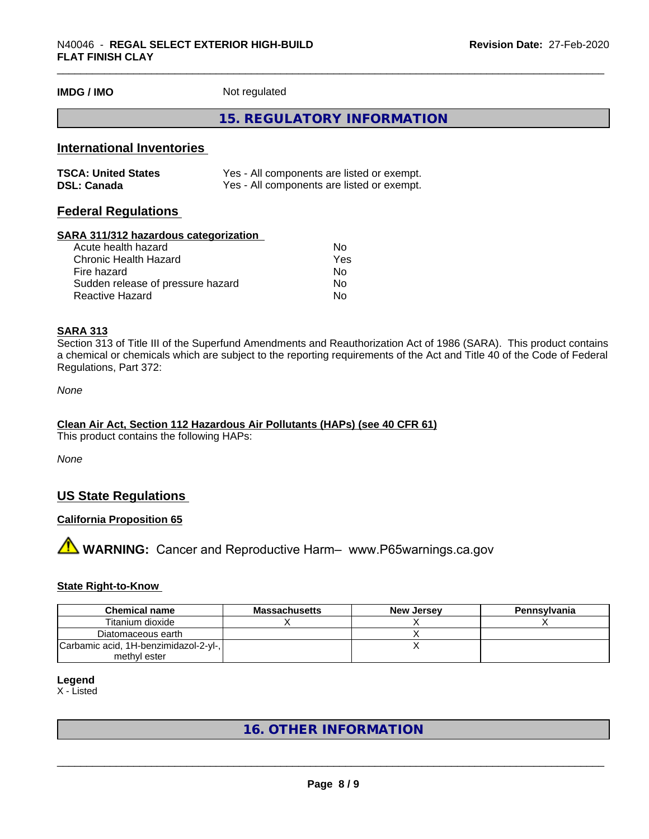**IMDG / IMO** Not regulated

#### **15. REGULATORY INFORMATION**

#### **International Inventories**

| <b>TSCA: United States</b> | Yes - All components are listed or exempt. |
|----------------------------|--------------------------------------------|
| <b>DSL: Canada</b>         | Yes - All components are listed or exempt. |

## **Federal Regulations**

#### **SARA 311/312 hazardous categorization**

| Acute health hazard               | No. |
|-----------------------------------|-----|
| Chronic Health Hazard             | Yes |
| Fire hazard                       | N٥  |
| Sudden release of pressure hazard | Nο  |
| Reactive Hazard                   | N٥  |

#### **SARA 313**

Section 313 of Title III of the Superfund Amendments and Reauthorization Act of 1986 (SARA). This product contains a chemical or chemicals which are subject to the reporting requirements of the Act and Title 40 of the Code of Federal Regulations, Part 372:

*None*

#### **Clean Air Act,Section 112 Hazardous Air Pollutants (HAPs) (see 40 CFR 61)**

This product contains the following HAPs:

*None*

## **US State Regulations**

#### **California Proposition 65**

**AN** WARNING: Cancer and Reproductive Harm– www.P65warnings.ca.gov

#### **State Right-to-Know**

| <b>Chemical name</b>                                  | Massachusetts | <b>New Jersey</b> | Pennsylvania |
|-------------------------------------------------------|---------------|-------------------|--------------|
| Titanium dioxide                                      |               |                   |              |
| Diatomaceous earth                                    |               |                   |              |
| Carbamic acid, 1H-benzimidazol-2-yl-,<br>methvl ester |               |                   |              |

#### **Legend**

X - Listed

# **16. OTHER INFORMATION**